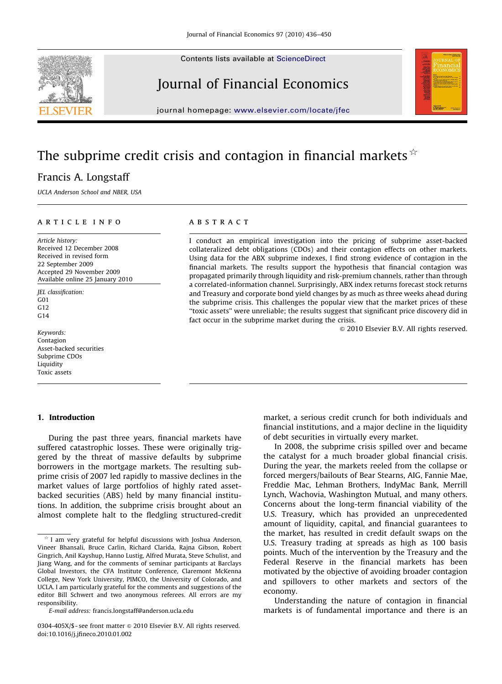Contents lists available at ScienceDirect







journal homepage: <www.elsevier.com/locate/jfec>

# The subprime credit crisis and contagion in financial markets  $\mathbb{\hat{R}}$

### Francis A. Longstaff

UCLA Anderson School and NBER, USA

#### article info

Article history: Received 12 December 2008 Received in revised form 22 September 2009 Accepted 29 November 2009 Available online 25 January 2010

JEL classification: G01  $G12$  $C<sub>14</sub>$ 

Keywords: Contagion Asset-backed securities Subprime CDOs Liquidity Toxic assets

#### 1. Introduction

During the past three years, financial markets have suffered catastrophic losses. These were originally triggered by the threat of massive defaults by subprime borrowers in the mortgage markets. The resulting subprime crisis of 2007 led rapidly to massive declines in the market values of large portfolios of highly rated assetbacked securities (ABS) held by many financial institutions. In addition, the subprime crisis brought about an almost complete halt to the fledgling structured-credit

E-mail address: [francis.longstaff@anderson.ucla.edu](mailto:francis.longstaff@anderson.ucla.edu)

#### **ABSTRACT**

I conduct an empirical investigation into the pricing of subprime asset-backed collateralized debt obligations (CDOs) and their contagion effects on other markets. Using data for the ABX subprime indexes, I find strong evidence of contagion in the financial markets. The results support the hypothesis that financial contagion was propagated primarily through liquidity and risk-premium channels, rather than through a correlated-information channel. Surprisingly, ABX index returns forecast stock returns and Treasury and corporate bond yield changes by as much as three weeks ahead during the subprime crisis. This challenges the popular view that the market prices of these ''toxic assets'' were unreliable; the results suggest that significant price discovery did in fact occur in the subprime market during the crisis.

 $\odot$  2010 Elsevier B.V. All rights reserved.

market, a serious credit crunch for both individuals and financial institutions, and a major decline in the liquidity of debt securities in virtually every market.

In 2008, the subprime crisis spilled over and became the catalyst for a much broader global financial crisis. During the year, the markets reeled from the collapse or forced mergers/bailouts of Bear Stearns, AIG, Fannie Mae, Freddie Mac, Lehman Brothers, IndyMac Bank, Merrill Lynch, Wachovia, Washington Mutual, and many others. Concerns about the long-term financial viability of the U.S. Treasury, which has provided an unprecedented amount of liquidity, capital, and financial guarantees to the market, has resulted in credit default swaps on the U.S. Treasury trading at spreads as high as 100 basis points. Much of the intervention by the Treasury and the Federal Reserve in the financial markets has been motivated by the objective of avoiding broader contagion and spillovers to other markets and sectors of the economy.

Understanding the nature of contagion in financial markets is of fundamental importance and there is an

 $*$  I am very grateful for helpful discussions with Joshua Anderson, Vineer Bhansali, Bruce Carlin, Richard Clarida, Rajna Gibson, Robert Gingrich, Anil Kayshup, Hanno Lustig, Alfred Murata, Steve Schulist, and Jiang Wang, and for the comments of seminar participants at Barclays Global Investors, the CFA Institute Conference, Claremont McKenna College, New York University, PIMCO, the University of Colorado, and UCLA. I am particularly grateful for the comments and suggestions of the editor Bill Schwert and two anonymous referees. All errors are my responsibility.

<sup>0304-405</sup>X/\$ - see front matter  $\odot$  2010 Elsevier B.V. All rights reserved. doi:[10.1016/j.jfineco.2010.01.002](dx.doi.org/10.1016/j.jfineco.2010.01.002)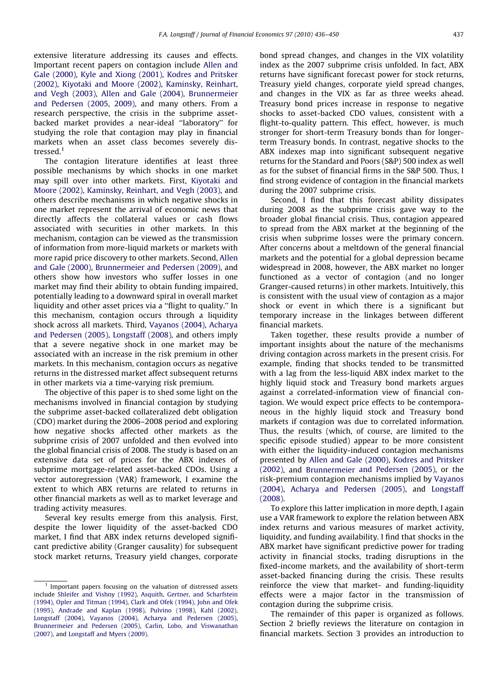extensive literature addressing its causes and effects. Important recent papers on contagion include [Allen and](#page--1-0) [Gale \(2000\)](#page--1-0), [Kyle and Xiong \(2001\),](#page--1-0) [Kodres and Pritsker](#page--1-0) [\(2002\)](#page--1-0), [Kiyotaki and Moore \(2002\),](#page--1-0) [Kaminsky, Reinhart,](#page--1-0) [and Vegh \(2003\),](#page--1-0) [Allen and Gale \(2004\),](#page--1-0) [Brunnermeier](#page--1-0) [and Pedersen \(2005, 2009\)](#page--1-0), and many others. From a research perspective, the crisis in the subprime assetbacked market provides a near-ideal ''laboratory'' for studying the role that contagion may play in financial markets when an asset class becomes severely distressed.<sup>1</sup>

The contagion literature identifies at least three possible mechanisms by which shocks in one market may spill over into other markets. First, [Kiyotaki and](#page--1-0) [Moore \(2002\),](#page--1-0) [Kaminsky, Reinhart, and Vegh \(2003\)](#page--1-0), and others describe mechanisms in which negative shocks in one market represent the arrival of economic news that directly affects the collateral values or cash flows associated with securities in other markets. In this mechanism, contagion can be viewed as the transmission of information from more-liquid markets or markets with more rapid price discovery to other markets. Second, [Allen](#page--1-0) [and Gale \(2000\),](#page--1-0) [Brunnermeier and Pedersen \(2009\)](#page--1-0), and others show how investors who suffer losses in one market may find their ability to obtain funding impaired, potentially leading to a downward spiral in overall market liquidity and other asset prices via a ''flight to quality.'' In this mechanism, contagion occurs through a liquidity shock across all markets. Third, [Vayanos \(2004\)](#page--1-0), [Acharya](#page--1-0) [and Pedersen \(2005\)](#page--1-0), [Longstaff \(2008\),](#page--1-0) and others imply that a severe negative shock in one market may be associated with an increase in the risk premium in other markets. In this mechanism, contagion occurs as negative returns in the distressed market affect subsequent returns in other markets via a time-varying risk premium.

The objective of this paper is to shed some light on the mechanisms involved in financial contagion by studying the subprime asset-backed collateralized debt obligation (CDO) market during the 2006–2008 period and exploring how negative shocks affected other markets as the subprime crisis of 2007 unfolded and then evolved into the global financial crisis of 2008. The study is based on an extensive data set of prices for the ABX indexes of subprime mortgage-related asset-backed CDOs. Using a vector autoregression (VAR) framework, I examine the extent to which ABX returns are related to returns in other financial markets as well as to market leverage and trading activity measures.

Several key results emerge from this analysis. First, despite the lower liquidity of the asset-backed CDO market, I find that ABX index returns developed significant predictive ability (Granger causality) for subsequent stock market returns, Treasury yield changes, corporate bond spread changes, and changes in the VIX volatility index as the 2007 subprime crisis unfolded. In fact, ABX returns have significant forecast power for stock returns, Treasury yield changes, corporate yield spread changes, and changes in the VIX as far as three weeks ahead. Treasury bond prices increase in response to negative shocks to asset-backed CDO values, consistent with a flight-to-quality pattern. This effect, however, is much stronger for short-term Treasury bonds than for longerterm Treasury bonds. In contrast, negative shocks to the ABX indexes map into significant subsequent negative returns for the Standard and Poors (S&P) 500 index as well as for the subset of financial firms in the S&P 500. Thus, I find strong evidence of contagion in the financial markets during the 2007 subprime crisis.

Second, I find that this forecast ability dissipates during 2008 as the subprime crisis gave way to the broader global financial crisis. Thus, contagion appeared to spread from the ABX market at the beginning of the crisis when subprime losses were the primary concern. After concerns about a meltdown of the general financial markets and the potential for a global depression became widespread in 2008, however, the ABX market no longer functioned as a vector of contagion (and no longer Granger-caused returns) in other markets. Intuitively, this is consistent with the usual view of contagion as a major shock or event in which there is a significant but temporary increase in the linkages between different financial markets.

Taken together, these results provide a number of important insights about the nature of the mechanisms driving contagion across markets in the present crisis. For example, finding that shocks tended to be transmitted with a lag from the less-liquid ABX index market to the highly liquid stock and Treasury bond markets argues against a correlated-information view of financial contagion. We would expect price effects to be contemporaneous in the highly liquid stock and Treasury bond markets if contagion was due to correlated information. Thus, the results (which, of course, are limited to the specific episode studied) appear to be more consistent with either the liquidity-induced contagion mechanisms presented by [Allen and Gale \(2000\)](#page--1-0), [Kodres and Pritsker](#page--1-0) [\(2002\)](#page--1-0), and Brunnermeier [and Pedersen \(2005\)](#page--1-0), or the risk-premium contagion mechanisms implied by [Vayanos](#page--1-0) [\(2004\)](#page--1-0), [Acharya and Pedersen \(2005\)](#page--1-0), and [Longstaff](#page--1-0) [\(2008\)](#page--1-0).

To explore this latter implication in more depth, I again use a VAR framework to explore the relation between ABX index returns and various measures of market activity, liquidity, and funding availability. I find that shocks in the ABX market have significant predictive power for trading activity in financial stocks, trading disruptions in the fixed-income markets, and the availability of short-term asset-backed financing during the crisis. These results reinforce the view that market- and funding-liquidity effects were a major factor in the transmission of contagion during the subprime crisis.

The remainder of this paper is organized as follows. Section 2 briefly reviews the literature on contagion in financial markets. Section 3 provides an introduction to

<sup>1</sup> Important papers focusing on the valuation of distressed assets include [Shleifer and Vishny \(1992\)](#page--1-0), [Asquith, Gertner, and Scharfstein](#page--1-0) [\(1994\)](#page--1-0), [Opler and Titman \(1994\)](#page--1-0), [Clark and Ofek \(1994\)](#page--1-0), [John and Ofek](#page--1-0) [\(1995\)](#page--1-0), [Andrade and Kaplan \(1998\),](#page--1-0) [Pulvino \(1998\)](#page--1-0), [Kahl \(2002\)](#page--1-0), [Longstaff \(2004\),](#page--1-0) [Vayanos \(2004\),](#page--1-0) [Acharya and Pedersen \(2005\)](#page--1-0), [Brunnermeier and Pedersen \(2005\),](#page--1-0) [Carlin, Lobo, and Viswanathan](#page--1-0) [\(2007\)](#page--1-0), and [Longstaff and Myers \(2009\).](#page--1-0)